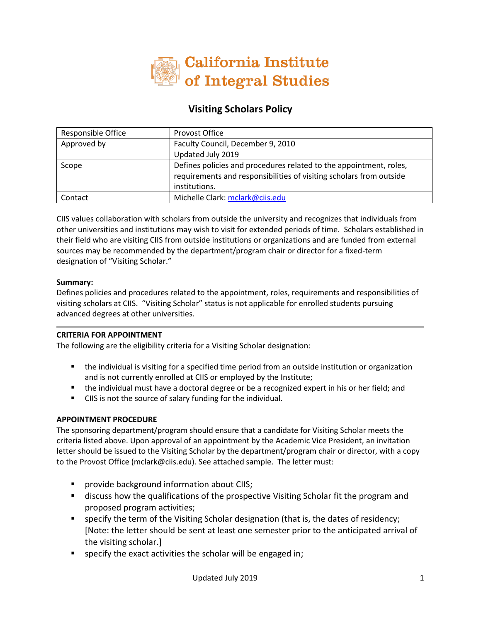

# **Visiting Scholars Policy**

| Responsible Office | Provost Office                                                                                                                                             |
|--------------------|------------------------------------------------------------------------------------------------------------------------------------------------------------|
| Approved by        | Faculty Council, December 9, 2010                                                                                                                          |
|                    | Updated July 2019                                                                                                                                          |
| Scope              | Defines policies and procedures related to the appointment, roles,<br>requirements and responsibilities of visiting scholars from outside<br>institutions. |
| Contact            | Michelle Clark: mclark@ciis.edu                                                                                                                            |

CIIS values collaboration with scholars from outside the university and recognizes that individuals from other universities and institutions may wish to visit for extended periods of time. Scholars established in their field who are visiting CIIS from outside institutions or organizations and are funded from external sources may be recommended by the department/program chair or director for a fixed-term designation of "Visiting Scholar."

### **Summary:**

Defines policies and procedures related to the appointment, roles, requirements and responsibilities of visiting scholars at CIIS. "Visiting Scholar" status is not applicable for enrolled students pursuing advanced degrees at other universities.

## **CRITERIA FOR APPOINTMENT**

The following are the eligibility criteria for a Visiting Scholar designation:

- the individual is visiting for a specified time period from an outside institution or organization and is not currently enrolled at CIIS or employed by the Institute;
- the individual must have a doctoral degree or be a recognized expert in his or her field; and
- CIIS is not the source of salary funding for the individual.

## **APPOINTMENT PROCEDURE**

The sponsoring department/program should ensure that a candidate for Visiting Scholar meets the criteria listed above. Upon approval of an appointment by the Academic Vice President, an invitation letter should be issued to the Visiting Scholar by the department/program chair or director, with a copy to the Provost Office (mclark@ciis.edu). See attached sample. The letter must:

- **Provide background information about CIIS;**
- **EXED** discuss how the qualifications of the prospective Visiting Scholar fit the program and proposed program activities;
- **ships of the term of the Visiting Scholar designation (that is, the dates of residency;** [Note: the letter should be sent at least one semester prior to the anticipated arrival of the visiting scholar.]
- specify the exact activities the scholar will be engaged in;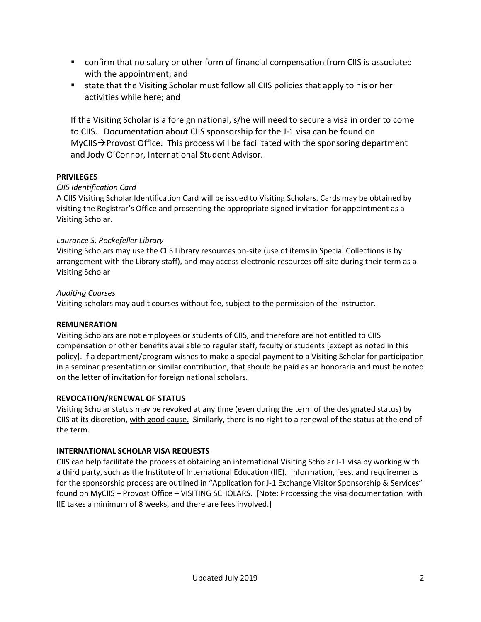- confirm that no salary or other form of financial compensation from CIIS is associated with the appointment; and
- state that the Visiting Scholar must follow all CIIS policies that apply to his or her activities while here; and

If the Visiting Scholar is a foreign national, s/he will need to secure a visa in order to come to CIIS. Documentation about CIIS sponsorship for the J-1 visa can be found on  $MyCIIS\rightarrow$  Provost Office. This process will be facilitated with the sponsoring department and Jody O'Connor, International Student Advisor.

## **PRIVILEGES**

## *CIIS Identification Card*

A CIIS Visiting Scholar Identification Card will be issued to Visiting Scholars. Cards may be obtained by visiting the Registrar's Office and presenting the appropriate signed invitation for appointment as a Visiting Scholar.

## *Laurance S. Rockefeller Library*

Visiting Scholars may use the CIIS Library resources on-site (use of items in Special Collections is by arrangement with the Library staff), and may access electronic resources off-site during their term as a Visiting Scholar

## *Auditing Courses*

Visiting scholars may audit courses without fee, subject to the permission of the instructor.

## **REMUNERATION**

Visiting Scholars are not employees or students of CIIS, and therefore are not entitled to CIIS compensation or other benefits available to regular staff, faculty or students [except as noted in this policy]. If a department/program wishes to make a special payment to a Visiting Scholar for participation in a seminar presentation or similar contribution, that should be paid as an honoraria and must be noted on the letter of invitation for foreign national scholars.

## **REVOCATION/RENEWAL OF STATUS**

Visiting Scholar status may be revoked at any time (even during the term of the designated status) by CIIS at its discretion, with good cause. Similarly, there is no right to a renewal of the status at the end of the term.

## **INTERNATIONAL SCHOLAR VISA REQUESTS**

CIIS can help facilitate the process of obtaining an international Visiting Scholar J-1 visa by working with a third party, such as the Institute of International Education (IIE). Information, fees, and requirements for the sponsorship process are outlined in "Application for J-1 Exchange Visitor Sponsorship & Services" found on MyCIIS – Provost Office – VISITING SCHOLARS. [Note: Processing the visa documentation with IIE takes a minimum of 8 weeks, and there are fees involved.]